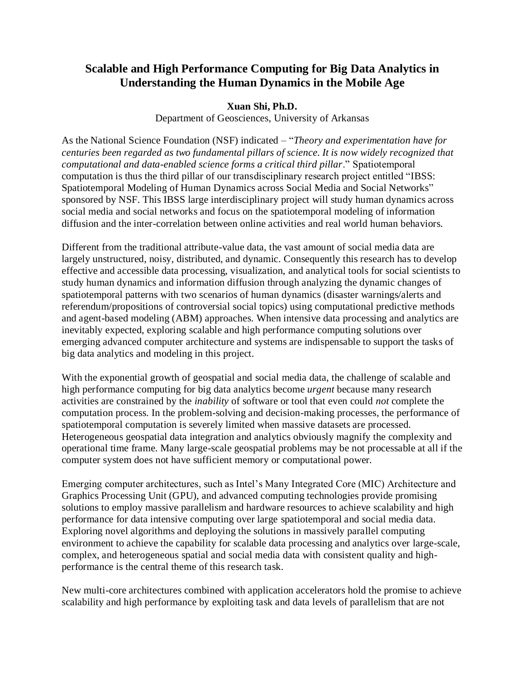## **Scalable and High Performance Computing for Big Data Analytics in Understanding the Human Dynamics in the Mobile Age**

## **Xuan Shi, Ph.D.**

Department of Geosciences, University of Arkansas

As the National Science Foundation (NSF) indicated – "*Theory and experimentation have for centuries been regarded as two fundamental pillars of science. It is now widely recognized that computational and data-enabled science forms a critical third pillar*." Spatiotemporal computation is thus the third pillar of our transdisciplinary research project entitled "IBSS: Spatiotemporal Modeling of Human Dynamics across Social Media and Social Networks" sponsored by NSF. This IBSS large interdisciplinary project will study human dynamics across social media and social networks and focus on the spatiotemporal modeling of information diffusion and the inter-correlation between online activities and real world human behaviors.

Different from the traditional attribute-value data, the vast amount of social media data are largely unstructured, noisy, distributed, and dynamic. Consequently this research has to develop effective and accessible data processing, visualization, and analytical tools for social scientists to study human dynamics and information diffusion through analyzing the dynamic changes of spatiotemporal patterns with two scenarios of human dynamics (disaster warnings/alerts and referendum/propositions of controversial social topics) using computational predictive methods and agent-based modeling (ABM) approaches. When intensive data processing and analytics are inevitably expected, exploring scalable and high performance computing solutions over emerging advanced computer architecture and systems are indispensable to support the tasks of big data analytics and modeling in this project.

With the exponential growth of geospatial and social media data, the challenge of scalable and high performance computing for big data analytics become *urgent* because many research activities are constrained by the *inability* of software or tool that even could *not* complete the computation process. In the problem-solving and decision-making processes, the performance of spatiotemporal computation is severely limited when massive datasets are processed. Heterogeneous geospatial data integration and analytics obviously magnify the complexity and operational time frame. Many large-scale geospatial problems may be not processable at all if the computer system does not have sufficient memory or computational power.

Emerging computer architectures, such as Intel's Many Integrated Core (MIC) Architecture and Graphics Processing Unit (GPU), and advanced computing technologies provide promising solutions to employ massive parallelism and hardware resources to achieve scalability and high performance for data intensive computing over large spatiotemporal and social media data. Exploring novel algorithms and deploying the solutions in massively parallel computing environment to achieve the capability for scalable data processing and analytics over large-scale, complex, and heterogeneous spatial and social media data with consistent quality and highperformance is the central theme of this research task.

New multi-core architectures combined with application accelerators hold the promise to achieve scalability and high performance by exploiting task and data levels of parallelism that are not